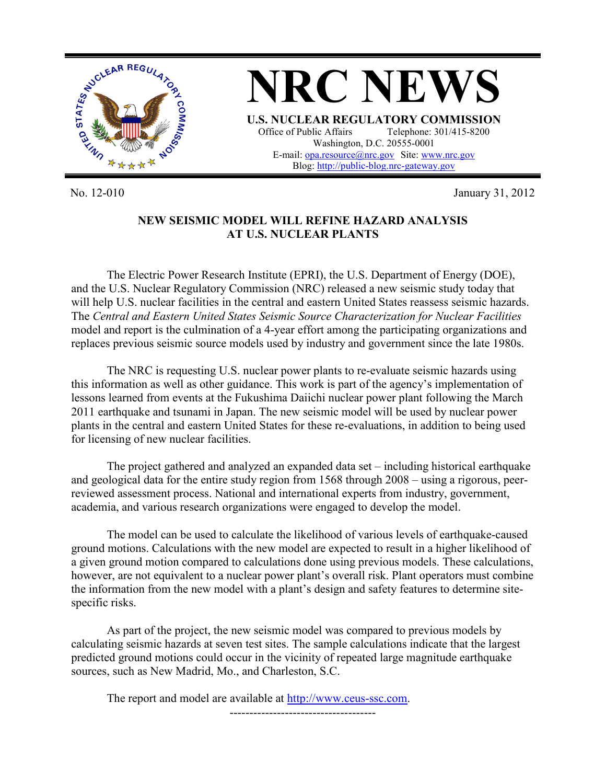

**NRC NEWS U.S. NUCLEAR REGULATORY COMMISSION**<br>Office of Public Affairs Telephone: 301/415-8200 Telephone: 301/415-8200 Washington, D.C. 20555-0001 E-mail: [opa.resource@nrc.gov](mailto:opa.resource@nrc.gov) Site[: www.nrc.gov](http://www.nrc.gov/) Blog[: http://public-blog.nrc-gateway.gov](http://public-blog.nrc-gateway.gov/)

No. 12-010 January 31, 2012

## **NEW SEISMIC MODEL WILL REFINE HAZARD ANALYSIS AT U.S. NUCLEAR PLANTS**

The Electric Power Research Institute (EPRI), the U.S. Department of Energy (DOE), and the U.S. Nuclear Regulatory Commission (NRC) released a new seismic study today that will help U.S. nuclear facilities in the central and eastern United States reassess seismic hazards. The *Central and Eastern United States Seismic Source Characterization for Nuclear Facilities* model and report is the culmination of a 4-year effort among the participating organizations and replaces previous seismic source models used by industry and government since the late 1980s.

The NRC is requesting U.S. nuclear power plants to re-evaluate seismic hazards using this information as well as other guidance. This work is part of the agency's implementation of lessons learned from events at the Fukushima Daiichi nuclear power plant following the March 2011 earthquake and tsunami in Japan. The new seismic model will be used by nuclear power plants in the central and eastern United States for these re-evaluations, in addition to being used for licensing of new nuclear facilities.

The project gathered and analyzed an expanded data set – including historical earthquake and geological data for the entire study region from 1568 through 2008 – using a rigorous, peerreviewed assessment process. National and international experts from industry, government, academia, and various research organizations were engaged to develop the model.

The model can be used to calculate the likelihood of various levels of earthquake-caused ground motions. Calculations with the new model are expected to result in a higher likelihood of a given ground motion compared to calculations done using previous models. These calculations, however, are not equivalent to a nuclear power plant's overall risk. Plant operators must combine the information from the new model with a plant's design and safety features to determine sitespecific risks.

As part of the project, the new seismic model was compared to previous models by calculating seismic hazards at seven test sites. The sample calculations indicate that the largest predicted ground motions could occur in the vicinity of repeated large magnitude earthquake sources, such as New Madrid, Mo., and Charleston, S.C.

The report and model are available at [http://www.ceus-ssc.com.](http://www.ceus-ssc.com/) -------------------------------------